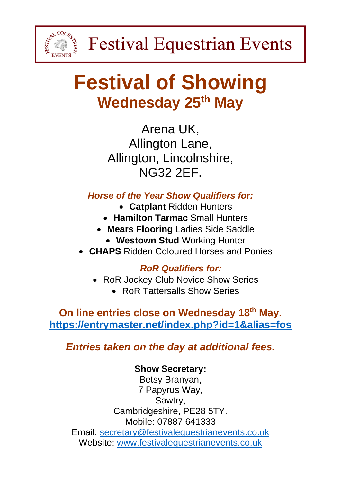

## **Festival of Showing Wednesday 25th May**

Arena UK, Allington Lane, Allington, Lincolnshire, NG32 2EF.

*Horse of the Year Show Qualifiers for:*

- **Catplant** Ridden Hunters
- **Hamilton Tarmac** Small Hunters
- **Mears Flooring** Ladies Side Saddle
	- **Westown Stud** Working Hunter
- **CHAPS** Ridden Coloured Horses and Ponies

## *RoR Qualifiers for:*

- RoR Jockey Club Novice Show Series
	- RoR Tattersalls Show Series

**On line entries close on Wednesday 18th May. <https://entrymaster.net/index.php?id=1&alias=fos>**

*Entries taken on the day at additional fees.*

## **Show Secretary:**

Betsy Branyan, 7 Papyrus Way, Sawtry, Cambridgeshire, PE28 5TY. Mobile: 07887 641333 Email: [secretary@festivalequestrianevents.co.uk](mailto:secretary@festivalequestrianevents.co.uk) Website: [www.festivalequestrianevents.co.uk](http://www.festivalequestrianevents.co.uk/)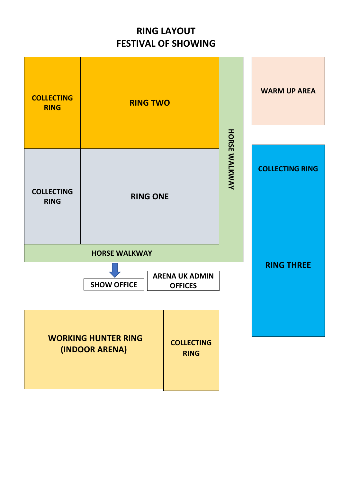## **RING LAYOUT FESTIVAL OF SHOWING**

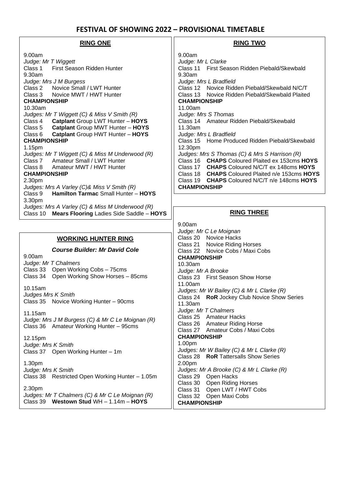#### **FESTIVAL OF SHOWING 2022 – PROVISIONAL TIMETABLE**

#### **RING ONE** 9.00am *Judge: Mr T Wiggett* Class 1 First Season Ridden Hunter 9.30am *Judge: Mrs J M Burgess* Class 2 Novice Small / LWT Hunter Class 3 Novice MWT / HWT Hunter **CHAMPIONSHIP** 10.30am *Judges: Mr T Wiggett (C) & Miss V Smith (R)* Class 4 **Catplant** Group LWT Hunter – **HOYS**  Class 5 **Catplant** Group MWT Hunter – **HOYS**  Class 6 **Catplant** Group HWT Hunter – **HOYS CHAMPIONSHIP** 1.15pm *Judges: Mr T Wiggett (C) & Miss M Underwood (R)*  Class 7 Amateur Small / LWT Hunter Class 8 Amateur MWT / HWT Hunter **CHAMPIONSHIP** 2.30pm *Judges: Mrs A Varley (C)& Miss V Smith (R)* Class 9 **Hamilton Tarmac** Small Hunter – **HOYS**  3.30pm *Judges: Mrs A Varley (C) & Miss M Underwood (R)* Class 10 **Mears Flooring** Ladies Side Saddle – **HOYS RING THREE** 9.00am *Judge: Mr C Le Moignan* Class 20 Novice Hacks Class 21 Novice Riding Horses Class 22 Novice Cobs / Maxi Cobs **CHAMPIONSHIP** 10.30am *Judge: Mr A Brooke*  Class 23 First Season Show Horse 11.00am *Judges: Mr W Bailey (C) & Mr L Clarke (R)* Class 24 **RoR** Jockey Club Novice Show Series 11.30am *Judge: Mr T Chalmers* Class 25 Amateur Hacks Class 26 Amateur Riding Horse Class 27 Amateur Cobs / Maxi Cobs **CHAMPIONSHIP** 1.00pm *Judges: Mr W Bailey (C) & Mr L Clarke (R)* Class 28 **RoR** Tattersalls Show Series 2.00pm *Judges: Mr A Brooke (C) & Mr L Clarke (R)*  Class 29 Open Hacks Class 30 Open Riding Horses Class 31 Open LWT / HWT Cobs Class 32 Open Maxi Cobs **WORKING HUNTER RING** *Course Builder: Mr David Cole* 9.00am *Judge: Mr T Chalmers*  Class 33 Open Working Cobs – 75cms Class 34 Open Working Show Horses – 85cms 10.15am *Judges Mrs K Smith*  Class 35 Novice Working Hunter – 90cms 11.15am *Judge: Mrs J M Burgess (C) & Mr C Le Moignan (R)* Class 36 Amateur Working Hunter – 95cms 12.15pm *Judge: Mrs K Smith*  Class 37 Open Working Hunter – 1m 1.30pm *Judge: Mrs K Smith*  Class 38 Restricted Open Working Hunter – 1.05m 2.30pm *Judges: Mr T Chalmers (C) & Mr C Le Moignan (R)* **RING TWO** 9.00am *Judge: Mr L Clarke* Class 11 First Season Ridden Piebald/Skewbald 9.30am *Judge: Mrs L Bradfield* Class 12 Novice Ridden Piebald/Skewbald N/C/T Class 13 Novice Ridden Piebald/Skewbald Plaited **CHAMPIONSHIP** 11.00am *Judge: Mrs S Thomas* Class 14 Amateur Ridden Piebald/Skewbald 11.30am *Judge: Mrs L Bradfield* Class 15 Home Produced Ridden Piebald/Skewbald 12.30pm *Judges: Mrs S Thomas (C) & Mrs S Harrison (R)* Class 16 **CHAPS** Coloured Plaited ex 153cms **HOYS** Class 17 **CHAPS** Coloured N/C/T ex 148cms **HOYS** Class 18 **CHAPS** Coloured Plaited n/e 153cms **HOYS** Class 19 **CHAPS** Coloured N/C/T n/e 148cms **HOYS CHAMPIONSHIP**

**CHAMPIONSHIP**

Class 39 **Westown Stud** WH – 1.14m – **HOYS**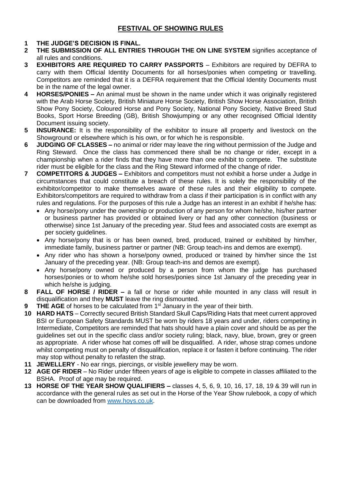#### **1 THE JUDGE'S DECISION IS FINAL.**

- **2 THE SUBMISSION OF ALL ENTRIES THROUGH THE ON LINE SYSTEM** signifies acceptance of all rules and conditions.
- **3 EXHIBITORS ARE REQUIRED TO CARRY PASSPORTS** Exhibitors are required by DEFRA to carry with them Official Identity Documents for all horses/ponies when competing or travelling. Competitors are reminded that it is a DEFRA requirement that the Official Identity Documents must be in the name of the legal owner.
- **4 HORSES/PONIES –** An animal must be shown in the name under which it was originally registered with the Arab Horse Society, British Miniature Horse Society, British Show Horse Association, British Show Pony Society, Coloured Horse and Pony Society, National Pony Society, Native Breed Stud Books, Sport Horse Breeding (GB), British Showjumping or any other recognised Official Identity Document issuing society.
- **5 INSURANCE:** It is the responsibility of the exhibitor to insure all property and livestock on the Showground or elsewhere which is his own, or for which he is responsible.
- **6 JUDGING OF CLASSES –** no animal or rider may leave the ring without permission of the Judge and Ring Steward. Once the class has commenced there shall be no change or rider, except in a championship when a rider finds that they have more than one exhibit to compete. The substitute rider must be eligible for the class and the Ring Steward informed of the change of rider.
- **7 COMPETITORS & JUDGES –** Exhibitors and competitors must not exhibit a horse under a Judge in circumstances that could constitute a breach of these rules. It is solely the responsibility of the exhibitor/competitor to make themselves aware of these rules and their eligibility to compete. Exhibitors/competitors are required to withdraw from a class if their participation is in conflict with any rules and regulations. For the purposes of this rule a Judge has an interest in an exhibit if he/she has:
	- Any horse/pony under the ownership or production of any person for whom he/she, his/her partner or business partner has provided or obtained livery or had any other connection (business or otherwise) since 1st January of the preceding year. Stud fees and associated costs are exempt as per society guidelines.
	- Any horse/pony that is or has been owned, bred, produced, trained or exhibited by him/her, immediate family, business partner or partner (NB: Group teach-ins and demos are exempt).
	- Any rider who has shown a horse/pony owned, produced or trained by him/her since the 1st January of the preceding year. (NB: Group teach-ins and demos are exempt).
	- Any horse/pony owned or produced by a person from whom the judge has purchased horses/ponies or to whom he/she sold horses/ponies since 1st January of the preceding year in which he/she is judging.
- **8 FALL OF HORSE / RIDER –** a fall or horse or rider while mounted in any class will result in disqualification and they **MUST** leave the ring dismounted.
- **9 THE AGE** of horses to be calculated from 1<sup>st</sup> January in the year of their birth.
- **10 HARD HATS** Correctly secured British Standard Skull Caps/Riding Hats that meet current approved BSI or European Safety Standards MUST be worn by riders 18 years and under, riders competing in Intermediate, Competitors are reminded that hats should have a plain cover and should be as per the guidelines set out in the specific class and/or society ruling; black, navy, blue, brown, grey or green as appropriate. A rider whose hat comes off will be disqualified. A rider, whose strap comes undone whilst competing must on penalty of disqualification, replace it or fasten it before continuing. The rider may stop without penalty to refasten the strap.
- **11 JEWELLERY** No ear rings, piercings, or visible jewellery may be worn.
- **12 AGE OF RIDER** No Rider under fifteen years of age is eligible to compete in classes affiliated to the BSHA. Proof of age may be required.
- **13 HORSE OF THE YEAR SHOW QUALIFIERS –** classes 4, 5, 6, 9, 10, 16, 17, 18, 19 & 39 will run in accordance with the general rules as set out in the Horse of the Year Show rulebook, a copy of which can be downloaded from [www.hoys.co.uk.](http://www.hoys.co.uk/)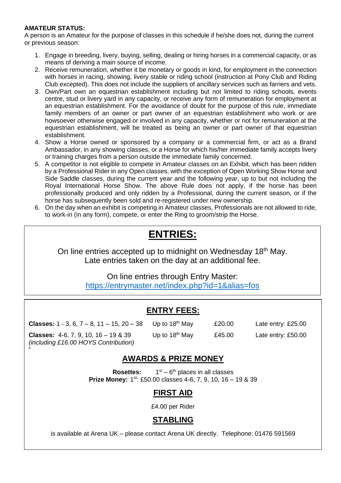#### **AMATEUR STATUS:**

A person is an Amateur for the purpose of classes in this schedule if he/she does not, during the current or previous season:

- 1. Engage in breeding, livery, buying, selling, dealing or hiring horses in a commercial capacity, or as means of deriving a main source of income.
- 2. Receive remuneration, whether it be monetary or goods in kind, for employment in the connection with horses in racing, showing, livery stable or riding school (instruction at Pony Club and Riding Club excepted). This does not include the suppliers of ancillary services such as farriers and vets.
- 3. Own/Part own an equestrian establishment including but not limited to riding schools, events centre, stud or livery yard in any capacity, or receive any form of remuneration for employment at an equestrian establishment. For the avoidance of doubt for the purpose of this rule, immediate family members of an owner or part owner of an equestrian establishment who work or are howsoever otherwise engaged or involved in any capacity, whether or not for remuneration at the equestrian establishment, will be treated as being an owner or part owner of that equestrian establishment.
- 4. Show a Horse owned or sponsored by a company or a commercial firm, or act as a Brand Ambassador, in any showing classes, or a Horse for which his/her immediate family accepts livery or training charges from a person outside the immediate family concerned.
- 5. A competitor is not eligible to compete in Amateur classes on an Exhibit, which has been ridden by a Professional Rider in any Open classes, with the exception of Open Working Show Horse and Side Saddle classes, during the current year and the following year, up to but not including the Royal International Horse Show. The above Rule does not apply, if the horse has been professionally produced and only ridden by a Professional, during the current season, or if the horse has subsequently been sold and re-registered under new ownership.
- 6. On the day when an exhibit is competing in Amateur classes, Professionals are not allowed to ride, to work-in (in any form), compete, or enter the Ring to groom/strip the Horse.

## **ENTRIES:**

On line entries accepted up to midnight on Wednesday 18<sup>th</sup> May. Late entries taken on the day at an additional fee.

> On line entries through Entry Master: <https://entrymaster.net/index.php?id=1&alias=fos>

## **ENTRY FEES:**

**Classes:** 1 - 3, 6,  $7 - 8$ , 11 - 15, 20 - 38 Up to  $18^{th}$  May  $\qquad 20.00$  Late entry: £25.00 **Classes:** 4-6, 7, 9, 10, 16 – 19 & 39 Up to 18<sup>th</sup> May  $£45.00$  Late entry: £50.00 *(including £16.00 HOYS Contribution)*

#

### **AWARDS & PRIZE MONEY**

**Rosettes:** 1 <sup>st</sup> – 6<sup>th</sup> places in all classes **Prize Money:** 1<sup>st</sup>: £50.00 classes 4-6, 7, 9, 10, 16 - 19 & 39

#### **FIRST AID**

£4.00 per Rider

### **STABLING**

is available at Arena UK – please contact Arena UK directly. Telephone: 01476 591569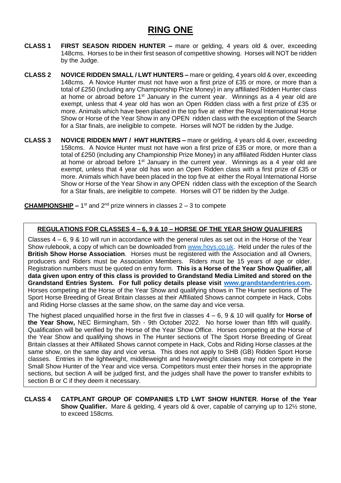## **RING ONE**

- **CLASS 1 FIRST SEASON RIDDEN HUNTER –** mare or gelding, 4 years old & over, exceeding 148cms. Horses to be in their first season of competitive showing. Horses will NOT be ridden by the Judge.
- **CLASS 2 NOVICE RIDDEN SMALL / LWT HUNTERS –** mare or gelding, 4 years old & over, exceeding 148cms. A Novice Hunter must not have won a first prize of £35 or more, or more than a total of £250 (including any Championship Prize Money) in any affiliated Ridden Hunter class at home or abroad before 1<sup>st</sup> January in the current year. Winnings as a 4 year old are exempt, unless that 4 year old has won an Open Ridden class with a first prize of £35 or more. Animals which have been placed in the top five at either the Royal International Horse Show or Horse of the Year Show in any OPEN ridden class with the exception of the Search for a Star finals, are ineligible to compete. Horses will NOT be ridden by the Judge.
- **CLASS 3 NOVICE RIDDEN MWT / HWT HUNTERS –** mare or gelding, 4 years old & over, exceeding 158cms. A Novice Hunter must not have won a first prize of £35 or more, or more than a total of £250 (including any Championship Prize Money) in any affiliated Ridden Hunter class at home or abroad before  $1<sup>st</sup>$  January in the current year. Winnings as a 4 year old are exempt, unless that 4 year old has won an Open Ridden class with a first prize of £35 or more. Animals which have been placed in the top five at either the Royal International Horse Show or Horse of the Year Show in any OPEN ridden class with the exception of the Search for a Star finals, are ineligible to compete. Horses will OT be ridden by the Judge.

**CHAMPIONSHIP** – 1<sup>st</sup> and 2<sup>nd</sup> prize winners in classes 2 – 3 to compete

#### **REGULATIONS FOR CLASSES 4 – 6, 9 & 10 – HORSE OF THE YEAR SHOW QUALIFIERS**

Classes  $4 - 6$ , 9 & 10 will run in accordance with the general rules as set out in the Horse of the Year Show rulebook, a copy of which can be downloaded from [www.hoys.co.uk.](http://www.hoys.co.uk/) Held under the rules of the **British Show Horse Association**. Horses must be registered with the Association and all Owners, producers and Riders must be Association Members. Riders must be 15 years of age or older. Registration numbers must be quoted on entry form. **This is a Horse of the Year Show Qualifier, all data given upon entry of this class is provided to Grandstand Media Limited and stored on the Grandstand Entries System. For full policy details please visit [www.grandstandentries.com.](http://www.grandstandentries.com/)**  Horses competing at the Horse of the Year Show and qualifying shows in The Hunter sections of The Sport Horse Breeding of Great Britain classes at their Affiliated Shows cannot compete in Hack, Cobs and Riding Horse classes at the same show, on the same day and vice versa.

The highest placed unqualified horse in the first five in classes 4 – 6, 9 & 10 will qualify for **Horse of the Year Show,** NEC Birmingham, 5th - 9th October 2022. No horse lower than fifth will qualify. Qualification will be verified by the Horse of the Year Show Office. Horses competing at the Horse of the Year Show and qualifying shows in The Hunter sections of The Sport Horse Breeding of Great Britain classes at their Affiliated Shows cannot compete in Hack, Cobs and Riding Horse classes at the same show, on the same day and vice versa. This does not apply to SHB (GB) Ridden Sport Horse classes. Entries in the lightweight, middleweight and heavyweight classes may not compete in the Small Show Hunter of the Year and vice versa. Competitors must enter their horses in the appropriate sections, but section A will be judged first, and the judges shall have the power to transfer exhibits to section B or C if they deem it necessary.

#### **CLASS 4 CATPLANT GROUP OF COMPANIES LTD LWT SHOW HUNTER**. **Horse of the Year Show Qualifier.** Mare & gelding, 4 years old & over, capable of carrying up to 12½ stone, to exceed 158cms.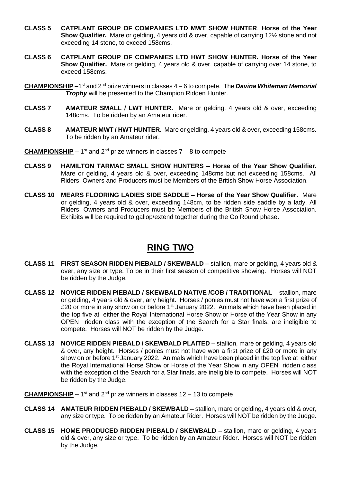- **CLASS 5 CATPLANT GROUP OF COMPANIES LTD MWT SHOW HUNTER**. **Horse of the Year Show Qualifier.** Mare or gelding, 4 years old & over, capable of carrying 12½ stone and not exceeding 14 stone, to exceed 158cms.
- **CLASS 6 CATPLANT GROUP OF COMPANIES LTD HWT SHOW HUNTER. Horse of the Year Show Qualifier.** Mare or gelding, 4 years old & over, capable of carrying over 14 stone, to exceed 158cms.
- **CHAMPIONSHIP –**1 st and 2nd prize winners in classes 4 6 to compete. The *Davina Whiteman Memorial Trophy* will be presented to the Champion Ridden Hunter.
- **CLASS 7 AMATEUR SMALL / LWT HUNTER.** Mare or gelding, 4 years old & over, exceeding 148cms. To be ridden by an Amateur rider.
- **CLASS 8 AMATEUR MWT / HWT HUNTER.** Mare or gelding, 4 years old & over, exceeding 158cms. To be ridden by an Amateur rider.
- **CHAMPIONSHIP** 1<sup>st</sup> and 2<sup>nd</sup> prize winners in classes 7 8 to compete
- **CLASS 9 HAMILTON TARMAC SMALL SHOW HUNTERS – Horse of the Year Show Qualifier.** Mare or gelding, 4 years old & over, exceeding 148cms but not exceeding 158cms. All Riders, Owners and Producers must be Members of the British Show Horse Association.
- **CLASS 10 MEARS FLOORING LADIES SIDE SADDLE – Horse of the Year Show Qualifier.** Mare or gelding, 4 years old & over, exceeding 148cm, to be ridden side saddle by a lady. All Riders, Owners and Producers must be Members of the British Show Horse Association. Exhibits will be required to gallop/extend together during the Go Round phase.

## **RING TWO**

- **CLASS 11 FIRST SEASON RIDDEN PIEBALD / SKEWBALD –** stallion, mare or gelding, 4 years old & over, any size or type. To be in their first season of competitive showing. Horses will NOT be ridden by the Judge.
- **CLASS 12 NOVICE RIDDEN PIEBALD / SKEWBALD NATIVE /COB / TRADITIONAL** stallion, mare or gelding, 4 years old & over, any height. Horses / ponies must not have won a first prize of £20 or more in any show on or before  $1<sup>st</sup>$  January 2022. Animals which have been placed in the top five at either the Royal International Horse Show or Horse of the Year Show in any OPEN ridden class with the exception of the Search for a Star finals, are ineligible to compete. Horses will NOT be ridden by the Judge.
- **CLASS 13 NOVICE RIDDEN PIEBALD / SKEWBALD PLAITED –** stallion, mare or gelding, 4 years old & over, any height. Horses / ponies must not have won a first prize of £20 or more in any show on or before 1<sup>st</sup> January 2022. Animals which have been placed in the top five at either the Royal International Horse Show or Horse of the Year Show in any OPEN ridden class with the exception of the Search for a Star finals, are ineligible to compete. Horses will NOT be ridden by the Judge.
- **CHAMPIONSHIP** 1<sup>st</sup> and 2<sup>nd</sup> prize winners in classes 12 13 to compete
- **CLASS 14 AMATEUR RIDDEN PIEBALD / SKEWBALD –** stallion, mare or gelding, 4 years old & over, any size or type. To be ridden by an Amateur Rider. Horses will NOT be ridden by the Judge.
- **CLASS 15 HOME PRODUCED RIDDEN PIEBALD / SKEWBALD –** stallion, mare or gelding, 4 years old & over, any size or type. To be ridden by an Amateur Rider. Horses will NOT be ridden by the Judge.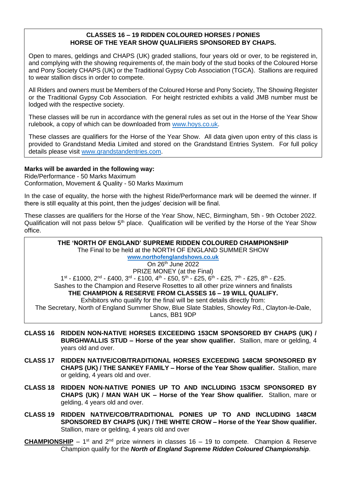#### **CLASSES 16 – 19 RIDDEN COLOURED HORSES / PONIES HORSE OF THE YEAR SHOW QUALIFIERS SPONSORED BY CHAPS.**

Open to mares, geldings and CHAPS (UK) graded stallions, four years old or over, to be registered in, and complying with the showing requirements of, the main body of the stud books of the Coloured Horse and Pony Society CHAPS (UK) or the Traditional Gypsy Cob Association (TGCA). Stallions are required to wear stallion discs in order to compete.

All Riders and owners must be Members of the Coloured Horse and Pony Society, The Showing Register or the Traditional Gypsy Cob Association. For height restricted exhibits a valid JMB number must be lodged with the respective society.

These classes will be run in accordance with the general rules as set out in the Horse of the Year Show rulebook, a copy of which can be downloaded from [www.hoys.co.uk.](http://www.hoys.co.uk/)

These classes are qualifiers for the Horse of the Year Show. All data given upon entry of this class is provided to Grandstand Media Limited and stored on the Grandstand Entries System. For full policy details please visit [www.grandstandentries.com.](http://www.grandstandentries.com/)

#### **Marks will be awarded in the following way:**

Ride/Performance - 50 Marks Maximum Conformation, Movement & Quality - 50 Marks Maximum

In the case of equality, the horse with the highest Ride/Performance mark will be deemed the winner. If there is still equality at this point, then the judges' decision will be final.

These classes are qualifiers for the Horse of the Year Show, NEC, Birmingham, 5th - 9th October 2022. Qualification will not pass below  $5<sup>th</sup>$  place. Qualification will be verified by the Horse of the Year Show office.

#### **THE 'NORTH OF ENGLAND' SUPREME RIDDEN COLOURED CHAMPIONSHIP** The Final to be held at the NORTH OF ENGLAND SUMMER SHOW **[www.northofenglandshows.co.uk](http://www.northofenglandshows.co.uk/)** On 26th June 2022 PRIZE MONEY (at the Final) 1<sup>st</sup> - £1000, 2<sup>nd</sup> - £400, 3<sup>rd</sup> - £100, 4<sup>th</sup> - £50, 5<sup>th</sup> - £25, 6<sup>th</sup> - £25, 7<sup>th</sup> - £25, 8<sup>th</sup> - £25. Sashes to the Champion and Reserve Rosettes to all other prize winners and finalists **THE CHAMPION & RESERVE FROM CLASSES 16 – 19 WILL QUALIFY.** Exhibitors who qualify for the final will be sent details directly from: The Secretary, North of England Summer Show, Blue Slate Stables, Showley Rd., Clayton-le-Dale, Lancs, BB1 9DP

- **CLASS 16 RIDDEN NON-NATIVE HORSES EXCEEDING 153CM SPONSORED BY CHAPS (UK) / BURGHWALLIS STUD – Horse of the year show qualifier.** Stallion, mare or gelding, 4 years old and over.
- **CLASS 17 RIDDEN NATIVE/COB/TRADITIONAL HORSES EXCEEDING 148CM SPONSORED BY CHAPS (UK) / THE SANKEY FAMILY – Horse of the Year Show qualifier.** Stallion, mare or gelding, 4 years old and over.
- **CLASS 18 RIDDEN NON-NATIVE PONIES UP TO AND INCLUDING 153CM SPONSORED BY CHAPS (UK) / MAN WAH UK – Horse of the Year Show qualifier.** Stallion, mare or gelding, 4 years old and over.
- **CLASS 19 RIDDEN NATIVE/COB/TRADITIONAL PONIES UP TO AND INCLUDING 148CM SPONSORED BY CHAPS (UK) / THE WHITE CROW – Horse of the Year Show qualifier.** Stallion, mare or gelding, 4 years old and over
- **CHAMPIONSHIP** 1<sup>st</sup> and 2<sup>nd</sup> prize winners in classes 16 19 to compete. Champion & Reserve Champion qualify for the *North of England Supreme Ridden Coloured Championship*.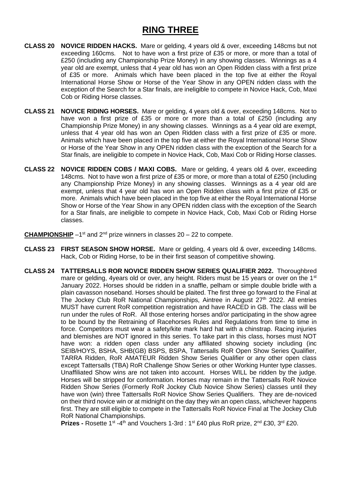## **RING THREE**

- **CLASS 20 NOVICE RIDDEN HACKS.** Mare or gelding, 4 years old & over, exceeding 148cms but not exceeding 160cms. Not to have won a first prize of £35 or more, or more than a total of £250 (including any Championship Prize Money) in any showing classes. Winnings as a 4 year old are exempt, unless that 4 year old has won an Open Ridden class with a first prize of £35 or more. Animals which have been placed in the top five at either the Royal International Horse Show or Horse of the Year Show in any OPEN ridden class with the exception of the Search for a Star finals, are ineligible to compete in Novice Hack, Cob, Maxi Cob or Riding Horse classes.
- **CLASS 21 NOVICE RIDING HORSES.** Mare or gelding, 4 years old & over, exceeding 148cms. Not to have won a first prize of £35 or more or more than a total of £250 (including any Championship Prize Money) in any showing classes. Winnings as a 4 year old are exempt, unless that 4 year old has won an Open Ridden class with a first prize of £35 or more. Animals which have been placed in the top five at either the Royal International Horse Show or Horse of the Year Show in any OPEN ridden class with the exception of the Search for a Star finals, are ineligible to compete in Novice Hack, Cob, Maxi Cob or Riding Horse classes.
- **CLASS 22 NOVICE RIDDEN COBS / MAXI COBS.** Mare or gelding, 4 years old & over, exceeding 148cms. Not to have won a first prize of £35 or more, or more than a total of £250 (including any Championship Prize Money) in any showing classes. Winnings as a 4 year old are exempt, unless that 4 year old has won an Open Ridden class with a first prize of £35 or more. Animals which have been placed in the top five at either the Royal International Horse Show or Horse of the Year Show in any OPEN ridden class with the exception of the Search for a Star finals, are ineligible to compete in Novice Hack, Cob, Maxi Cob or Riding Horse classes.
- **CHAMPIONSHIP** -1<sup>st</sup> and 2<sup>nd</sup> prize winners in classes 20 22 to compete.
- **CLASS 23 FIRST SEASON SHOW HORSE.** Mare or gelding, 4 years old & over, exceeding 148cms. Hack, Cob or Riding Horse, to be in their first season of competitive showing.
- **CLASS 24 TATTERSALLS ROR NOVICE RIDDEN SHOW SERIES QUALIFIER 2022.** Thoroughbred mare or gelding, 4years old or over, any height. Riders must be 15 years or over on the 1<sup>st</sup> January 2022. Horses should be ridden in a snaffle, pelham or simple double bridle with a plain cavasson noseband. Horses should be plaited. The first three go forward to the Final at The Jockey Club RoR National Championships, Aintree in August 27<sup>th</sup> 2022. All entries MUST have current RoR competition registration and have RACED in GB. The class will be run under the rules of RoR. All those entering horses and/or participating in the show agree to be bound by the Retraining of Racehorses Rules and Regulations from time to time in force. Competitors must wear a safety/kite mark hard hat with a chinstrap. Racing injuries and blemishes are NOT ignored in this series. To take part in this class, horses must NOT have won: a ridden open class under any affiliated showing society including (inc SEIB/HOYS, BSHA, SHB(GB) BSPS, BSPA, Tattersalls RoR Open Show Series Qualifier, TARRA Ridden, RoR AMATEUR Ridden Show Series Qualifier or any other open class except Tattersalls (TBA) RoR Challenge Show Series or other Working Hunter type classes. Unaffiliated Show wins are not taken into account. Horses WILL be ridden by the judge. Horses will be stripped for conformation. Horses may remain in the Tattersalls RoR Novice Ridden Show Series (Formerly RoR Jockey Club Novice Show Series) classes until they have won (win) three Tattersalls RoR Novice Show Series Qualifiers. They are de-noviced on their third novice win or at midnight on the day they win an open class, whichever happens first. They are still eligible to compete in the Tattersalls RoR Novice Final at The Jockey Club RoR National Championships.

**Prizes -** Rosette 1<sup>st</sup> -4<sup>th</sup> and Vouchers 1-3rd : 1<sup>st</sup> £40 plus RoR prize, 2<sup>nd</sup> £30, 3<sup>rd</sup> £20.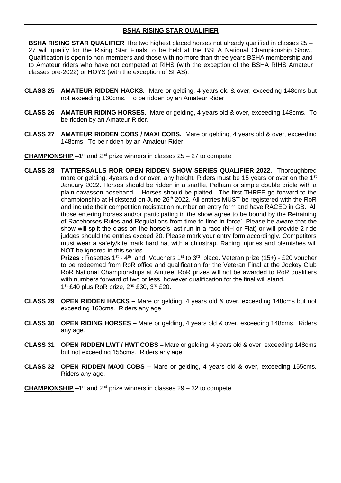#### **BSHA RISING STAR QUALIFIER**

**BSHA RISING STAR QUALIFIER** The two highest placed horses not already qualified in classes 25 – 27 will qualify for the Rising Star Finals to be held at the BSHA National Championship Show. Qualification is open to non-members and those with no more than three years BSHA membership and to Amateur riders who have not competed at RIHS (with the exception of the BSHA RIHS Amateur classes pre-2022) or HOYS (with the exception of SFAS).

- **CLASS 25 AMATEUR RIDDEN HACKS.** Mare or gelding, 4 years old & over, exceeding 148cms but not exceeding 160cms. To be ridden by an Amateur Rider.
- **CLASS 26 AMATEUR RIDING HORSES.** Mare or gelding, 4 years old & over, exceeding 148cms. To be ridden by an Amateur Rider.
- **CLASS 27 AMATEUR RIDDEN COBS / MAXI COBS.** Mare or gelding, 4 years old & over, exceeding 148cms. To be ridden by an Amateur Rider.

**CHAMPIONSHIP** -1<sup>st</sup> and 2<sup>nd</sup> prize winners in classes 25 – 27 to compete.

**CLASS 28 TATTERSALLS ROR OPEN RIDDEN SHOW SERIES QUALIFIER 2022.** Thoroughbred mare or gelding, 4years old or over, any height. Riders must be 15 years or over on the 1<sup>st</sup> January 2022. Horses should be ridden in a snaffle, Pelham or simple double bridle with a plain cavasson noseband. Horses should be plaited. The first THREE go forward to the championship at Hickstead on June 26<sup>th</sup> 2022. All entries MUST be registered with the RoR and include their competition registration number on entry form and have RACED in GB. All those entering horses and/or participating in the show agree to be bound by the Retraining of Racehorses Rules and Regulations from time to time in force'. Please be aware that the show will split the class on the horse's last run in a race (NH or Flat) or will provide 2 ride judges should the entries exceed 20. Please mark your entry form accordingly. Competitors must wear a safety/kite mark hard hat with a chinstrap. Racing injuries and blemishes will NOT be ignored in this series

**Prizes :** Rosettes 1<sup>st</sup> - 4<sup>th</sup> and Vouchers 1<sup>st</sup> to 3<sup>rd</sup> place. Veteran prize (15+) - £20 voucher to be redeemed from RoR office and qualification for the Veteran Final at the Jockey Club RoR National Championships at Aintree. RoR prizes will not be awarded to RoR qualifiers with numbers forward of two or less, however qualification for the final will stand. 1<sup>st</sup> £40 plus RoR prize, 2<sup>nd</sup> £30, 3<sup>rd</sup> £20.

- **CLASS 29 OPEN RIDDEN HACKS –** Mare or gelding, 4 years old & over, exceeding 148cms but not exceeding 160cms. Riders any age.
- **CLASS 30 OPEN RIDING HORSES –** Mare or gelding, 4 years old & over, exceeding 148cms. Riders any age.
- **CLASS 31 OPEN RIDDEN LWT / HWT COBS –** Mare or gelding, 4 years old & over, exceeding 148cms but not exceeding 155cms. Riders any age.
- **CLASS 32 OPEN RIDDEN MAXI COBS –** Mare or gelding, 4 years old & over, exceeding 155cms. Riders any age.
- **CHAMPIONSHIP** -1<sup>st</sup> and 2<sup>nd</sup> prize winners in classes 29 32 to compete.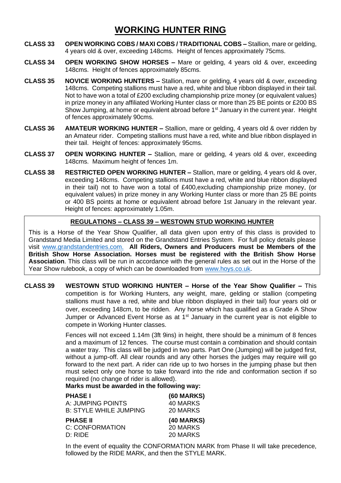## **WORKING HUNTER RING**

- **CLASS 33 OPEN WORKING COBS / MAXI COBS / TRADITIONAL COBS –** Stallion, mare or gelding, 4 years old & over, exceeding 148cms. Height of fences approximately 75cms.
- **CLASS 34 OPEN WORKING SHOW HORSES –** Mare or gelding, 4 years old & over, exceeding 148cms. Height of fences approximately 85cms.
- **CLASS 35 NOVICE WORKING HUNTERS –** Stallion, mare or gelding, 4 years old & over, exceeding 148cms. Competing stallions must have a red, white and blue ribbon displayed in their tail. Not to have won a total of £200 excluding championship prize money (or equivalent values) in prize money in any affiliated Working Hunter class or more than 25 BE points or £200 BS Show Jumping, at home or equivalent abroad before 1<sup>st</sup> January in the current year. Height of fences approximately 90cms.
- **CLASS 36 AMATEUR WORKING HUNTER –** Stallion, mare or gelding, 4 years old & over ridden by an Amateur rider. Competing stallions must have a red, white and blue ribbon displayed in their tail. Height of fences: approximately 95cms.
- **CLASS 37 OPEN WORKING HUNTER –** Stallion, mare or gelding, 4 years old & over, exceeding 148cms. Maximum height of fences 1m.
- **CLASS 38 RESTRICTED OPEN WORKING HUNTER –** Stallion, mare or gelding, 4 years old & over, exceeding 148cms. Competing stallions must have a red, white and blue ribbon displayed in their tail) not to have won a total of £400,excluding championship prize money, (or equivalent values) in prize money in any Working Hunter class or more than 25 BE points or 400 BS points at home or equivalent abroad before 1st January in the relevant year. Height of fences: approximately 1.05m.

#### **REGULATIONS – CLASS 39 – WESTOWN STUD WORKING HUNTER**

This is a Horse of the Year Show Qualifier, all data given upon entry of this class is provided to Grandstand Media Limited and stored on the Grandstand Entries System. For full policy details please visit [www.grandstandentries.com.](http://www.grandstandentries.com/) **All Riders, Owners and Producers must be Members of the British Show Horse Association. Horses must be registered with the British Show Horse Association**. This class will be run in accordance with the general rules as set out in the Horse of the Year Show rulebook, a copy of which can be downloaded from [www.hoys.co.uk.](http://www.hoys.co.uk/)

**CLASS 39 WESTOWN STUD WORKING HUNTER – Horse of the Year Show Qualifier –** This competition is for Working Hunters, any weight, mare, gelding or stallion (competing stallions must have a red, white and blue ribbon displayed in their tail) four years old or over, exceeding 148cm, to be ridden. Any horse which has qualified as a Grade A Show Jumper or Advanced Event Horse as at 1<sup>st</sup> January in the current year is not eligible to compete in Working Hunter classes.

> Fences will not exceed 1.14m (3ft 9ins) in height, there should be a minimum of 8 fences and a maximum of 12 fences. The course must contain a combination and should contain a water tray. This class will be judged in two parts. Part One (Jumping) will be judged first, without a jump-off. All clear rounds and any other horses the judges may require will go forward to the next part. A rider can ride up to two horses in the jumping phase but then must select only one horse to take forward into the ride and conformation section if so required (no change of rider is allowed).

**Marks must be awarded in the following way:**

| <b>PHASE I</b>                | <b>(60 MARKS)</b> |
|-------------------------------|-------------------|
| A: JUMPING POINTS             | <b>40 MARKS</b>   |
| <b>B: STYLE WHILE JUMPING</b> | 20 MARKS          |
| <b>PHASE II</b>               | <b>(40 MARKS)</b> |
| C: CONFORMATION               | 20 MARKS          |
| D: RIDE                       | 20 MARKS          |

In the event of equality the CONFORMATION MARK from Phase II will take precedence, followed by the RIDE MARK, and then the STYLE MARK.